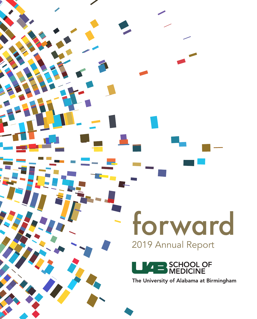## 2019 Annual Report forward



The University of Alabama at Birmingham